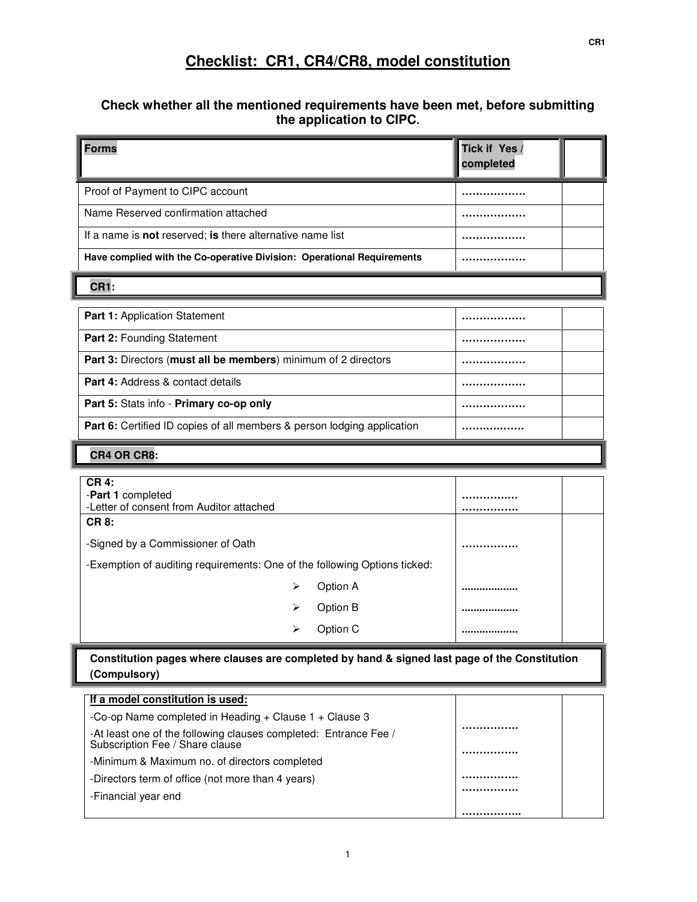# **Checklist: CR1, CR4/CR8, model constitution**

## **Check whether all the mentioned requirements have been met, before submitting the application to CIPC.**

| <b>Forms</b>                                                                                                                                                  | Tick if Yes /<br>completed |  |
|---------------------------------------------------------------------------------------------------------------------------------------------------------------|----------------------------|--|
| Proof of Payment to CIPC account                                                                                                                              |                            |  |
| Name Reserved confirmation attached                                                                                                                           |                            |  |
| If a name is not reserved; is there alternative name list                                                                                                     |                            |  |
| Have complied with the Co-operative Division: Operational Requirements                                                                                        |                            |  |
| <b>CR1:</b>                                                                                                                                                   |                            |  |
| Part 1: Application Statement                                                                                                                                 |                            |  |
| Part 2: Founding Statement                                                                                                                                    |                            |  |
| Part 3: Directors (must all be members) minimum of 2 directors                                                                                                |                            |  |
| <b>Part 4: Address &amp; contact details</b>                                                                                                                  |                            |  |
| Part 5: Stats info - Primary co-op only                                                                                                                       |                            |  |
| Part 6: Certified ID copies of all members & person lodging application                                                                                       |                            |  |
| CR4 OR CR8:                                                                                                                                                   |                            |  |
| <b>CR4:</b><br>-Part 1 completed<br>-Letter of consent from Auditor attached<br><b>CR8:</b>                                                                   |                            |  |
| -Signed by a Commissioner of Oath                                                                                                                             |                            |  |
| -Exemption of auditing requirements: One of the following Options ticked:                                                                                     |                            |  |
| Option A<br>⋗                                                                                                                                                 | .                          |  |
| Option B<br>⋗                                                                                                                                                 |                            |  |
| Option C<br>⋗                                                                                                                                                 |                            |  |
| Constitution pages where clauses are completed by hand & signed last page of the Constitution<br>(Compulsory)                                                 |                            |  |
| If a model constitution is used:                                                                                                                              |                            |  |
| -Co-op Name completed in Heading + Clause 1 + Clause 3<br>-At least one of the following clauses completed: Entrance Fee /<br>Subscription Fee / Share clause |                            |  |
| -Minimum & Maximum no. of directors completed                                                                                                                 |                            |  |
| -Directors term of office (not more than 4 years)                                                                                                             |                            |  |
| -Financial year end                                                                                                                                           |                            |  |
|                                                                                                                                                               |                            |  |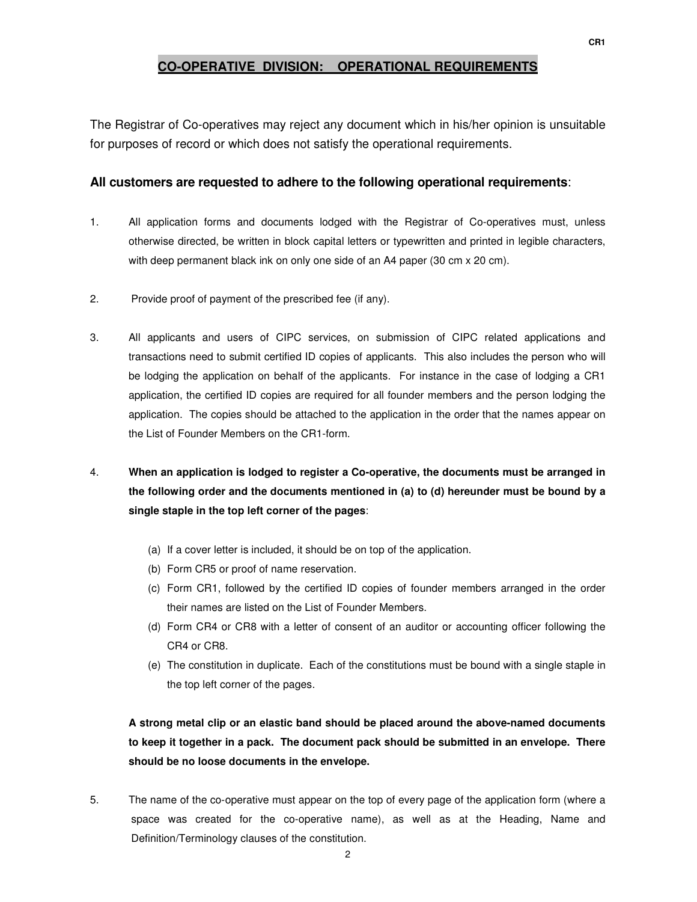## **CO-OPERATIVE DIVISION: OPERATIONAL REQUIREMENTS**

The Registrar of Co-operatives may reject any document which in his/her opinion is unsuitable for purposes of record or which does not satisfy the operational requirements.

## **All customers are requested to adhere to the following operational requirements**:

- 1. All application forms and documents lodged with the Registrar of Co-operatives must, unless otherwise directed, be written in block capital letters or typewritten and printed in legible characters, with deep permanent black ink on only one side of an A4 paper (30 cm  $\times$  20 cm).
- 2. Provide proof of payment of the prescribed fee (if any).
- 3. All applicants and users of CIPC services, on submission of CIPC related applications and transactions need to submit certified ID copies of applicants. This also includes the person who will be lodging the application on behalf of the applicants. For instance in the case of lodging a CR1 application, the certified ID copies are required for all founder members and the person lodging the application. The copies should be attached to the application in the order that the names appear on the List of Founder Members on the CR1-form.
- 4. **When an application is lodged to register a Co-operative, the documents must be arranged in the following order and the documents mentioned in (a) to (d) hereunder must be bound by a single staple in the top left corner of the pages**:
	- (a) If a cover letter is included, it should be on top of the application.
	- (b) Form CR5 or proof of name reservation.
	- (c) Form CR1, followed by the certified ID copies of founder members arranged in the order their names are listed on the List of Founder Members.
	- (d) Form CR4 or CR8 with a letter of consent of an auditor or accounting officer following the CR4 or CR8.
	- (e) The constitution in duplicate. Each of the constitutions must be bound with a single staple in the top left corner of the pages.

**A strong metal clip or an elastic band should be placed around the above-named documents to keep it together in a pack. The document pack should be submitted in an envelope. There should be no loose documents in the envelope.** 

5. The name of the co-operative must appear on the top of every page of the application form (where a space was created for the co-operative name), as well as at the Heading, Name and Definition/Terminology clauses of the constitution.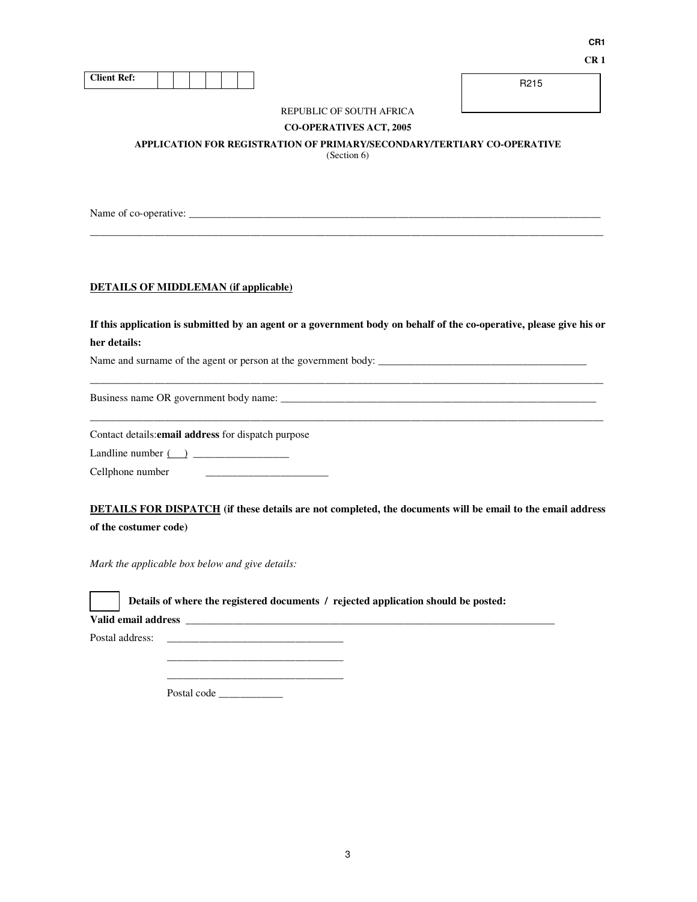| <b>Client Ref:</b> |  |  |  |  |  |  |  |
|--------------------|--|--|--|--|--|--|--|
|--------------------|--|--|--|--|--|--|--|

R215

## REPUBLIC OF SOUTH AFRICA

**CO-OPERATIVES ACT, 2005** 

**APPLICATION FOR REGISTRATION OF PRIMARY/SECONDARY/TERTIARY CO-OPERATIVE** 

(Section 6)

 $\_$  ,  $\_$  ,  $\_$  ,  $\_$  ,  $\_$  ,  $\_$  ,  $\_$  ,  $\_$  ,  $\_$  ,  $\_$  ,  $\_$  ,  $\_$  ,  $\_$  ,  $\_$  ,  $\_$  ,  $\_$  ,  $\_$  ,  $\_$  ,  $\_$  ,  $\_$  ,  $\_$  ,  $\_$  ,  $\_$  ,  $\_$  ,  $\_$  ,  $\_$  ,  $\_$  ,  $\_$  ,  $\_$  ,  $\_$  ,  $\_$  ,  $\_$  ,  $\_$  ,  $\_$  ,  $\_$  ,  $\_$  ,  $\_$  ,

Name of co-operative: \_\_\_\_\_\_\_\_\_\_\_\_\_\_\_\_\_\_\_\_\_\_\_\_\_\_\_\_\_\_\_\_\_\_\_\_\_\_\_\_\_\_\_\_\_\_\_\_\_\_\_\_\_\_\_\_\_\_\_\_\_\_\_\_\_\_\_\_\_\_\_\_\_\_\_\_\_

## **DETAILS OF MIDDLEMAN (if applicable)**

**If this application is submitted by an agent or a government body on behalf of the co-operative, please give his or her details:** 

 $\_$  ,  $\_$  ,  $\_$  ,  $\_$  ,  $\_$  ,  $\_$  ,  $\_$  ,  $\_$  ,  $\_$  ,  $\_$  ,  $\_$  ,  $\_$  ,  $\_$  ,  $\_$  ,  $\_$  ,  $\_$  ,  $\_$  ,  $\_$  ,  $\_$  ,  $\_$  ,  $\_$  ,  $\_$  ,  $\_$  ,  $\_$  ,  $\_$  ,  $\_$  ,  $\_$  ,  $\_$  ,  $\_$  ,  $\_$  ,  $\_$  ,  $\_$  ,  $\_$  ,  $\_$  ,  $\_$  ,  $\_$  ,  $\_$  ,

 $\_$  ,  $\_$  ,  $\_$  ,  $\_$  ,  $\_$  ,  $\_$  ,  $\_$  ,  $\_$  ,  $\_$  ,  $\_$  ,  $\_$  ,  $\_$  ,  $\_$  ,  $\_$  ,  $\_$  ,  $\_$  ,  $\_$  ,  $\_$  ,  $\_$  ,  $\_$  ,  $\_$  ,  $\_$  ,  $\_$  ,  $\_$  ,  $\_$  ,  $\_$  ,  $\_$  ,  $\_$  ,  $\_$  ,  $\_$  ,  $\_$  ,  $\_$  ,  $\_$  ,  $\_$  ,  $\_$  ,  $\_$  ,  $\_$  ,

Name and surname of the agent or person at the government body: \_\_\_\_\_\_\_\_\_\_\_\_\_\_\_\_\_\_\_\_\_\_\_\_\_\_\_\_\_\_\_\_\_\_\_\_\_\_\_

Business name OR government body name: \_\_\_\_\_\_\_\_\_\_\_\_\_\_\_\_\_\_\_\_\_\_\_\_\_\_\_\_\_\_\_\_\_\_\_\_\_\_\_\_\_\_\_\_\_\_\_\_\_\_\_\_\_\_\_\_\_\_\_

Contact details:**email address** for dispatch purpose

Landline number ( ) \_\_\_\_\_\_\_\_\_\_\_\_\_\_\_\_\_\_

Cellphone number \_\_\_\_\_\_\_\_\_\_\_\_\_\_\_\_\_\_\_\_\_\_\_

**DETAILS FOR DISPATCH (if these details are not completed, the documents will be email to the email address of the costumer code)** 

*Mark the applicable box below and give details:* 

**Details of where the registered documents / rejected application should be posted:** 

**Valid email address \_\_\_\_\_\_\_\_\_\_\_\_\_\_\_\_\_\_\_\_\_\_\_\_\_\_\_\_\_\_\_\_\_\_\_\_\_\_\_\_\_\_\_\_\_\_\_\_\_\_\_\_\_\_\_\_\_\_\_\_\_\_\_\_\_\_\_\_\_** 

Postal address:

Postal code \_\_\_\_\_\_\_\_\_\_\_\_\_

 $\overline{\phantom{a}}$  ,  $\overline{\phantom{a}}$  ,  $\overline{\phantom{a}}$  ,  $\overline{\phantom{a}}$  ,  $\overline{\phantom{a}}$  ,  $\overline{\phantom{a}}$  ,  $\overline{\phantom{a}}$  ,  $\overline{\phantom{a}}$  ,  $\overline{\phantom{a}}$  ,  $\overline{\phantom{a}}$  ,  $\overline{\phantom{a}}$  ,  $\overline{\phantom{a}}$  ,  $\overline{\phantom{a}}$  ,  $\overline{\phantom{a}}$  ,  $\overline{\phantom{a}}$  ,  $\overline{\phantom{a}}$ \_\_\_\_\_\_\_\_\_\_\_\_\_\_\_\_\_\_\_\_\_\_\_\_\_\_\_\_\_\_\_\_\_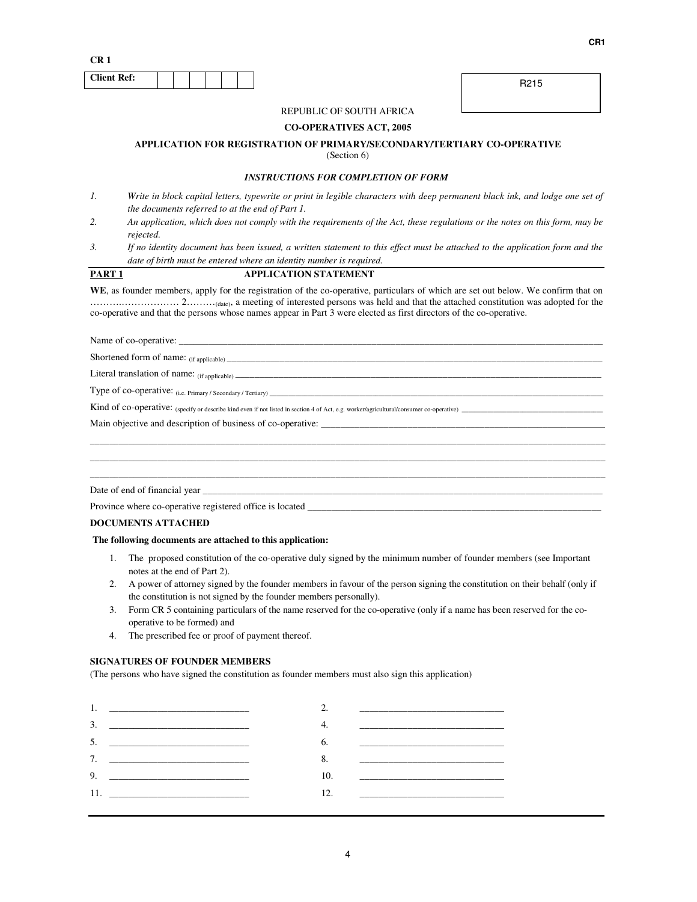**CR 1** 

| <b>Client Ref:</b> |  |  |  |  |
|--------------------|--|--|--|--|
|                    |  |  |  |  |

R215

## REPUBLIC OF SOUTH AFRICA

#### **CO-OPERATIVES ACT, 2005**

#### **APPLICATION FOR REGISTRATION OF PRIMARY/SECONDARY/TERTIARY CO-OPERATIVE**

(Section 6)

#### *INSTRUCTIONS FOR COMPLETION OF FORM*

- *1. Write in block capital letters, typewrite or print in legible characters with deep permanent black ink, and lodge one set of the documents referred to at the end of Part 1.*
- *2. An application, which does not comply with the requirements of the Act, these regulations or the notes on this form, may be rejected.*
- *3. If no identity document has been issued, a written statement to this effect must be attached to the application form and the date of birth must be entered where an identity number is required.*

## **PART 1 APPLICATION STATEMENT**

**WE**, as founder members, apply for the registration of the co-operative, particulars of which are set out below. We confirm that on ……….……………… 2………(date), a meeting of interested persons was held and that the attached constitution was adopted for the co-operative and that the persons whose names appear in Part 3 were elected as first directors of the co-operative.

Name of co-operative:

Shortened form of name: (if applicable) \_\_\_\_\_\_\_\_\_\_\_\_\_\_\_\_\_\_\_\_\_\_\_\_\_\_\_\_\_\_\_\_\_\_\_\_\_\_\_\_\_\_\_\_\_\_\_\_\_\_\_\_\_\_\_\_\_\_\_\_\_\_\_\_\_\_\_\_\_\_\_\_\_\_\_\_\_\_

Literal translation of name:  $_{(if\ applicable)$ 

Type of co-operative: (i.e. Primary / Secondary / Tertiary) \_\_\_\_\_\_\_\_\_\_\_\_\_\_\_\_\_\_\_\_

Kind of co-operative: (specify or describe kind even if not listed in section 4 of Act, e.g. worker/agricultural/consumer co-operative) \_\_\_\_\_\_\_\_\_\_\_\_\_\_\_\_\_\_\_\_\_\_\_\_\_\_\_\_\_\_\_\_\_\_\_\_\_\_\_\_\_\_\_\_

Main objective and description of business of co-operative: \_\_\_\_\_\_\_\_\_\_\_\_\_\_\_\_\_\_\_\_\_\_\_\_\_\_\_\_\_\_\_\_\_\_\_\_\_\_\_\_\_\_\_\_\_\_\_\_\_\_\_\_\_\_\_\_\_\_\_

Date of end of financial year \_\_\_\_\_\_\_\_\_\_\_\_\_\_\_\_\_\_\_\_\_\_\_\_\_\_\_\_\_\_\_\_\_\_\_\_\_\_\_\_\_\_\_\_\_\_\_\_\_\_\_\_\_\_\_\_\_\_\_\_\_\_\_\_\_\_\_\_\_\_\_\_\_\_\_\_\_\_\_\_\_\_\_

Province where co-operative registered office is located \_\_\_\_\_\_\_\_\_\_\_\_\_\_\_\_\_\_\_\_\_\_\_

**DOCUMENTS ATTACHED** 

#### **The following documents are attached to this application:**

1. The proposed constitution of the co-operative duly signed by the minimum number of founder members (see Important notes at the end of Part 2).

\_\_\_\_\_\_\_\_\_\_\_\_\_\_\_\_\_\_\_\_\_\_\_\_\_\_\_\_\_\_\_\_\_\_\_\_\_\_\_\_\_\_\_\_\_\_\_\_\_\_\_\_\_\_\_\_\_\_\_\_\_\_\_\_\_\_\_\_\_\_\_\_\_\_\_\_\_\_\_\_\_\_\_\_\_\_\_\_\_\_\_\_\_\_\_\_\_\_\_\_\_\_\_\_\_\_\_ \_\_\_\_\_\_\_\_\_\_\_\_\_\_\_\_\_\_\_\_\_\_\_\_\_\_\_\_\_\_\_\_\_\_\_\_\_\_\_\_\_\_\_\_\_\_\_\_\_\_\_\_\_\_\_\_\_\_\_\_\_\_\_\_\_\_\_\_\_\_\_\_\_\_\_\_\_\_\_\_\_\_\_\_\_\_\_\_\_\_\_\_\_\_\_\_\_\_\_\_\_\_\_\_\_\_\_ \_\_\_\_\_\_\_\_\_\_\_\_\_\_\_\_\_\_\_\_\_\_\_\_\_\_\_\_\_\_\_\_\_\_\_\_\_\_\_\_\_\_\_\_\_\_\_\_\_\_\_\_\_\_\_\_\_\_\_\_\_\_\_\_\_\_\_\_\_\_\_\_\_\_\_\_\_\_\_\_\_\_\_\_\_\_\_\_\_\_\_\_\_\_\_\_\_\_\_\_\_\_\_\_\_\_\_

- 2. A power of attorney signed by the founder members in favour of the person signing the constitution on their behalf (only if the constitution is not signed by the founder members personally).
- 3. Form CR 5 containing particulars of the name reserved for the co-operative (only if a name has been reserved for the cooperative to be formed) and
- 4. The prescribed fee or proof of payment thereof.

#### **SIGNATURES OF FOUNDER MEMBERS**

(The persons who have signed the constitution as founder members must also sign this application)

| 3.<br><u> 2000 - Jan Barnett, mars et al. (</u>                                                                     | <u> 1980 - Jan Samuel Barbara, margaret eta politikaria (h. 1905).</u>                                                                                                                                                               |
|---------------------------------------------------------------------------------------------------------------------|--------------------------------------------------------------------------------------------------------------------------------------------------------------------------------------------------------------------------------------|
|                                                                                                                     | <u> 1980 - Johann Harry Harry Harry Harry Harry Harry Harry Harry Harry Harry Harry Harry Harry Harry Harry Harry Harry Harry Harry Harry Harry Harry Harry Harry Harry Harry Harry Harry Harry Harry Harry Harry Harry Harry Ha</u> |
| 7.                                                                                                                  | <u> 1980 - Jan James James James James James James James James James James James James James James James James Ja</u>                                                                                                                |
| 9.<br><u> 1980 - Johann Barn, mars and de Brasilian (b. 1980)</u>                                                   |                                                                                                                                                                                                                                      |
| <u> 1989 - Johann Johann Storm, mars and de British and de British and de British and de British and de British</u> |                                                                                                                                                                                                                                      |

**CR1**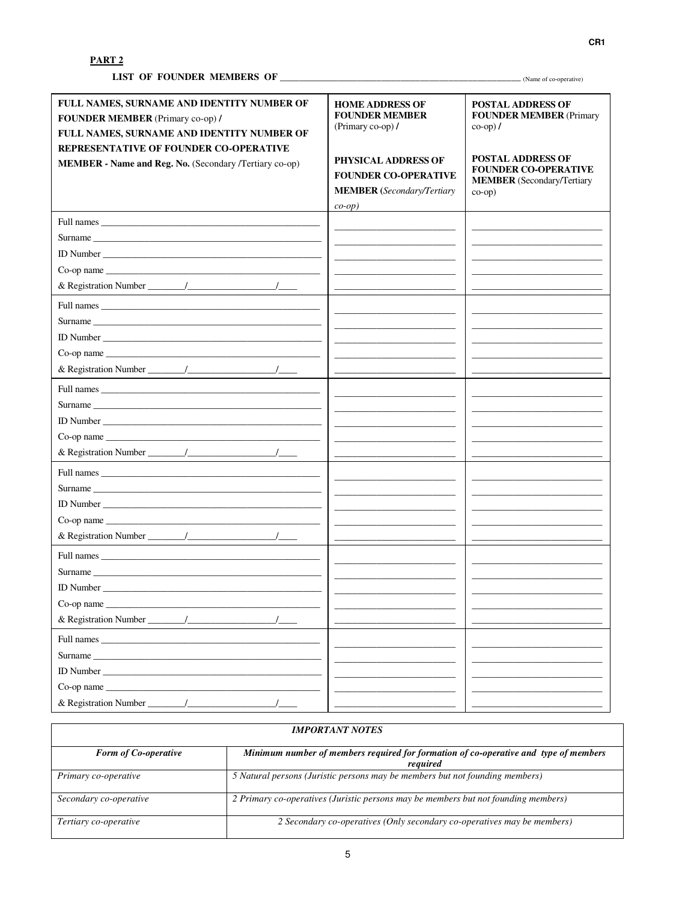| FULL NAMES, SURNAME AND IDENTITY NUMBER OF<br>FOUNDER MEMBER (Primary co-op) /<br>FULL NAMES, SURNAME AND IDENTITY NUMBER OF<br>REPRESENTATIVE OF FOUNDER CO-OPERATIVE<br>MEMBER - Name and Reg. No. (Secondary /Tertiary co-op) | <b>HOME ADDRESS OF</b><br><b>FOUNDER MEMBER</b><br>(Primary co-op)/<br><b>PHYSICAL ADDRESS OF</b><br><b>FOUNDER CO-OPERATIVE</b><br><b>MEMBER</b> (Secondary/Tertiary<br>$co-op$ ) | <b>POSTAL ADDRESS OF</b><br><b>FOUNDER MEMBER (Primary</b><br>$\cos$ -op) /<br><b>POSTAL ADDRESS OF</b><br><b>FOUNDER CO-OPERATIVE</b><br><b>MEMBER</b> (Secondary/Tertiary<br>$co-op)$ |
|----------------------------------------------------------------------------------------------------------------------------------------------------------------------------------------------------------------------------------|------------------------------------------------------------------------------------------------------------------------------------------------------------------------------------|-----------------------------------------------------------------------------------------------------------------------------------------------------------------------------------------|
|                                                                                                                                                                                                                                  |                                                                                                                                                                                    |                                                                                                                                                                                         |
|                                                                                                                                                                                                                                  |                                                                                                                                                                                    |                                                                                                                                                                                         |
| ID Number                                                                                                                                                                                                                        |                                                                                                                                                                                    |                                                                                                                                                                                         |
|                                                                                                                                                                                                                                  |                                                                                                                                                                                    |                                                                                                                                                                                         |
|                                                                                                                                                                                                                                  |                                                                                                                                                                                    |                                                                                                                                                                                         |
|                                                                                                                                                                                                                                  |                                                                                                                                                                                    |                                                                                                                                                                                         |
|                                                                                                                                                                                                                                  |                                                                                                                                                                                    |                                                                                                                                                                                         |
|                                                                                                                                                                                                                                  |                                                                                                                                                                                    |                                                                                                                                                                                         |
|                                                                                                                                                                                                                                  |                                                                                                                                                                                    |                                                                                                                                                                                         |
|                                                                                                                                                                                                                                  |                                                                                                                                                                                    |                                                                                                                                                                                         |
|                                                                                                                                                                                                                                  |                                                                                                                                                                                    |                                                                                                                                                                                         |
| Surname                                                                                                                                                                                                                          |                                                                                                                                                                                    |                                                                                                                                                                                         |
|                                                                                                                                                                                                                                  |                                                                                                                                                                                    |                                                                                                                                                                                         |
| $Co$ -op name $\Box$                                                                                                                                                                                                             |                                                                                                                                                                                    |                                                                                                                                                                                         |
|                                                                                                                                                                                                                                  |                                                                                                                                                                                    |                                                                                                                                                                                         |
|                                                                                                                                                                                                                                  |                                                                                                                                                                                    |                                                                                                                                                                                         |
| Surname                                                                                                                                                                                                                          |                                                                                                                                                                                    |                                                                                                                                                                                         |
|                                                                                                                                                                                                                                  | <u> 1989 - Johann John Stone, market fan it ferskearre fan it ferskearre fan it ferskearre fan it ferskearre fan i</u>                                                             |                                                                                                                                                                                         |
|                                                                                                                                                                                                                                  |                                                                                                                                                                                    |                                                                                                                                                                                         |
|                                                                                                                                                                                                                                  |                                                                                                                                                                                    |                                                                                                                                                                                         |
| Full names                                                                                                                                                                                                                       |                                                                                                                                                                                    |                                                                                                                                                                                         |
| Surname                                                                                                                                                                                                                          | <u> 2000 - Jan James Barnett, fransk politik (d. 1878)</u>                                                                                                                         |                                                                                                                                                                                         |
| ID Number                                                                                                                                                                                                                        |                                                                                                                                                                                    |                                                                                                                                                                                         |
| Co-op name                                                                                                                                                                                                                       |                                                                                                                                                                                    |                                                                                                                                                                                         |
|                                                                                                                                                                                                                                  |                                                                                                                                                                                    |                                                                                                                                                                                         |
|                                                                                                                                                                                                                                  |                                                                                                                                                                                    |                                                                                                                                                                                         |
| Surname                                                                                                                                                                                                                          |                                                                                                                                                                                    |                                                                                                                                                                                         |
| ID Number                                                                                                                                                                                                                        |                                                                                                                                                                                    |                                                                                                                                                                                         |
|                                                                                                                                                                                                                                  |                                                                                                                                                                                    |                                                                                                                                                                                         |
| & Registration Number $\frac{1}{\sqrt{2\pi}}$                                                                                                                                                                                    |                                                                                                                                                                                    |                                                                                                                                                                                         |

| <b>IMPORTANT NOTES</b>      |                                                                                                  |  |
|-----------------------------|--------------------------------------------------------------------------------------------------|--|
| <b>Form of Co-operative</b> | Minimum number of members required for formation of co-operative and type of members<br>reauired |  |
| Primary co-operative        | 5 Natural persons (Juristic persons may be members but not founding members)                     |  |
| Secondary co-operative      | 2 Primary co-operatives (Juristic persons may be members but not founding members)               |  |
| Tertiary co-operative       | 2 Secondary co-operatives (Only secondary co-operatives may be members)                          |  |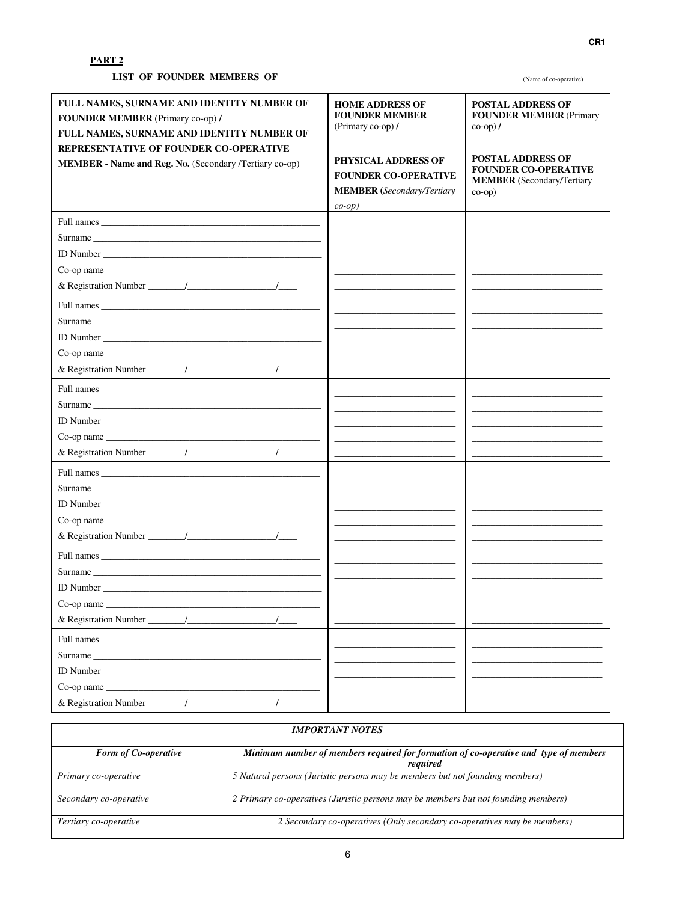| FULL NAMES, SURNAME AND IDENTITY NUMBER OF<br>FOUNDER MEMBER (Primary co-op) /<br>FULL NAMES, SURNAME AND IDENTITY NUMBER OF<br>REPRESENTATIVE OF FOUNDER CO-OPERATIVE<br>MEMBER - Name and Reg. No. (Secondary /Tertiary co-op) | <b>HOME ADDRESS OF</b><br><b>FOUNDER MEMBER</b><br>(Primary co-op)/<br><b>PHYSICAL ADDRESS OF</b><br><b>FOUNDER CO-OPERATIVE</b><br><b>MEMBER</b> (Secondary/Tertiary<br>$co-op$ ) | <b>POSTAL ADDRESS OF</b><br><b>FOUNDER MEMBER (Primary</b><br>$\cos$ -op) /<br><b>POSTAL ADDRESS OF</b><br><b>FOUNDER CO-OPERATIVE</b><br><b>MEMBER</b> (Secondary/Tertiary<br>$co-op)$ |
|----------------------------------------------------------------------------------------------------------------------------------------------------------------------------------------------------------------------------------|------------------------------------------------------------------------------------------------------------------------------------------------------------------------------------|-----------------------------------------------------------------------------------------------------------------------------------------------------------------------------------------|
|                                                                                                                                                                                                                                  |                                                                                                                                                                                    |                                                                                                                                                                                         |
| Surname                                                                                                                                                                                                                          |                                                                                                                                                                                    |                                                                                                                                                                                         |
|                                                                                                                                                                                                                                  |                                                                                                                                                                                    |                                                                                                                                                                                         |
|                                                                                                                                                                                                                                  |                                                                                                                                                                                    |                                                                                                                                                                                         |
|                                                                                                                                                                                                                                  |                                                                                                                                                                                    |                                                                                                                                                                                         |
|                                                                                                                                                                                                                                  |                                                                                                                                                                                    |                                                                                                                                                                                         |
| Surname                                                                                                                                                                                                                          |                                                                                                                                                                                    |                                                                                                                                                                                         |
| ID Number                                                                                                                                                                                                                        |                                                                                                                                                                                    |                                                                                                                                                                                         |
| Co-op name                                                                                                                                                                                                                       |                                                                                                                                                                                    |                                                                                                                                                                                         |
|                                                                                                                                                                                                                                  |                                                                                                                                                                                    |                                                                                                                                                                                         |
|                                                                                                                                                                                                                                  |                                                                                                                                                                                    |                                                                                                                                                                                         |
| Surname                                                                                                                                                                                                                          |                                                                                                                                                                                    |                                                                                                                                                                                         |
|                                                                                                                                                                                                                                  |                                                                                                                                                                                    |                                                                                                                                                                                         |
|                                                                                                                                                                                                                                  |                                                                                                                                                                                    |                                                                                                                                                                                         |
|                                                                                                                                                                                                                                  |                                                                                                                                                                                    |                                                                                                                                                                                         |
|                                                                                                                                                                                                                                  |                                                                                                                                                                                    |                                                                                                                                                                                         |
| Surname                                                                                                                                                                                                                          |                                                                                                                                                                                    |                                                                                                                                                                                         |
|                                                                                                                                                                                                                                  | <u> 1989 - Johann John Stone, mars et al. 1989 - John Stone, mars et al. 1989 - John Stone, mars et al. 1989 - John Stone</u>                                                      |                                                                                                                                                                                         |
|                                                                                                                                                                                                                                  |                                                                                                                                                                                    |                                                                                                                                                                                         |
|                                                                                                                                                                                                                                  |                                                                                                                                                                                    |                                                                                                                                                                                         |
| Full names and the state of the state of the state of the state of the state of the state of the state of the state of the state of the state of the state of the state of the state of the state of the state of the state of   |                                                                                                                                                                                    |                                                                                                                                                                                         |
| Surname                                                                                                                                                                                                                          | <u> 1989 - John Harry Harry Harry Harry Harry Harry Harry Harry Harry Harry Harry Harry Harry Harry Harry Harry H</u>                                                              |                                                                                                                                                                                         |
|                                                                                                                                                                                                                                  |                                                                                                                                                                                    |                                                                                                                                                                                         |
| $Co$ -op name                                                                                                                                                                                                                    |                                                                                                                                                                                    |                                                                                                                                                                                         |
|                                                                                                                                                                                                                                  |                                                                                                                                                                                    |                                                                                                                                                                                         |
|                                                                                                                                                                                                                                  |                                                                                                                                                                                    |                                                                                                                                                                                         |
| Surname                                                                                                                                                                                                                          |                                                                                                                                                                                    |                                                                                                                                                                                         |
| ID Number                                                                                                                                                                                                                        |                                                                                                                                                                                    |                                                                                                                                                                                         |
| $Co$ -op name $\_\_\_\_\_\_\_$                                                                                                                                                                                                   |                                                                                                                                                                                    |                                                                                                                                                                                         |
|                                                                                                                                                                                                                                  |                                                                                                                                                                                    |                                                                                                                                                                                         |

| <b>IMPORTANT NOTES</b>      |                                                                                                  |  |
|-----------------------------|--------------------------------------------------------------------------------------------------|--|
| <b>Form of Co-operative</b> | Minimum number of members required for formation of co-operative and type of members<br>reauired |  |
| Primary co-operative        | 5 Natural persons (Juristic persons may be members but not founding members)                     |  |
| Secondary co-operative      | 2 Primary co-operatives (Juristic persons may be members but not founding members)               |  |
| Tertiary co-operative       | 2 Secondary co-operatives (Only secondary co-operatives may be members)                          |  |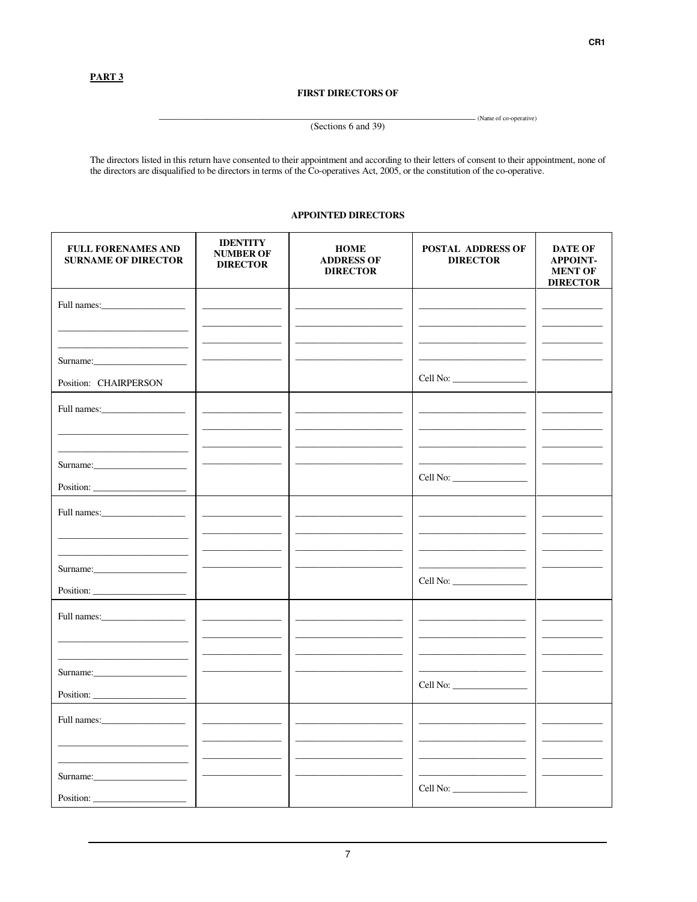### **FIRST DIRECTORS OF**

#### (Sections 6 and 39)

- (Name of co-operative)

The directors listed in this return have consented to their appointment and according to their letters of consent to their appointment, none of the directors are disqualified to be directors in terms of the Co-operatives A

## **APPOINTED DIRECTORS**

| <b>FULL FORENAMES AND</b><br><b>SURNAME OF DIRECTOR</b> | <b>IDENTITY</b><br><b>NUMBER OF</b><br><b>DIRECTOR</b> | <b>HOME</b><br><b>ADDRESS OF</b><br><b>DIRECTOR</b> | <b>POSTAL ADDRESS OF</b><br><b>DIRECTOR</b>                 | <b>DATE OF</b><br><b>APPOINT-</b><br><b>MENT OF</b><br><b>DIRECTOR</b> |
|---------------------------------------------------------|--------------------------------------------------------|-----------------------------------------------------|-------------------------------------------------------------|------------------------------------------------------------------------|
| Full names:                                             |                                                        |                                                     |                                                             |                                                                        |
|                                                         |                                                        |                                                     |                                                             |                                                                        |
| Surname:                                                |                                                        |                                                     |                                                             |                                                                        |
| Position: CHAIRPERSON                                   |                                                        |                                                     |                                                             |                                                                        |
|                                                         |                                                        |                                                     |                                                             |                                                                        |
|                                                         |                                                        |                                                     | the control of the control of the control of the control of |                                                                        |
| Surname:                                                |                                                        |                                                     | the control of the control of the control of                |                                                                        |
| Position:                                               |                                                        |                                                     |                                                             |                                                                        |
|                                                         |                                                        |                                                     |                                                             |                                                                        |
|                                                         |                                                        |                                                     |                                                             |                                                                        |
| Surname:                                                |                                                        |                                                     |                                                             |                                                                        |
|                                                         |                                                        |                                                     |                                                             |                                                                        |
|                                                         |                                                        |                                                     |                                                             |                                                                        |
|                                                         |                                                        |                                                     |                                                             |                                                                        |
|                                                         |                                                        |                                                     |                                                             |                                                                        |
| Position:                                               |                                                        |                                                     | Cell No:                                                    |                                                                        |
|                                                         |                                                        |                                                     |                                                             |                                                                        |
|                                                         |                                                        |                                                     |                                                             |                                                                        |
| Surname:                                                |                                                        |                                                     |                                                             |                                                                        |
| Position:                                               |                                                        |                                                     |                                                             |                                                                        |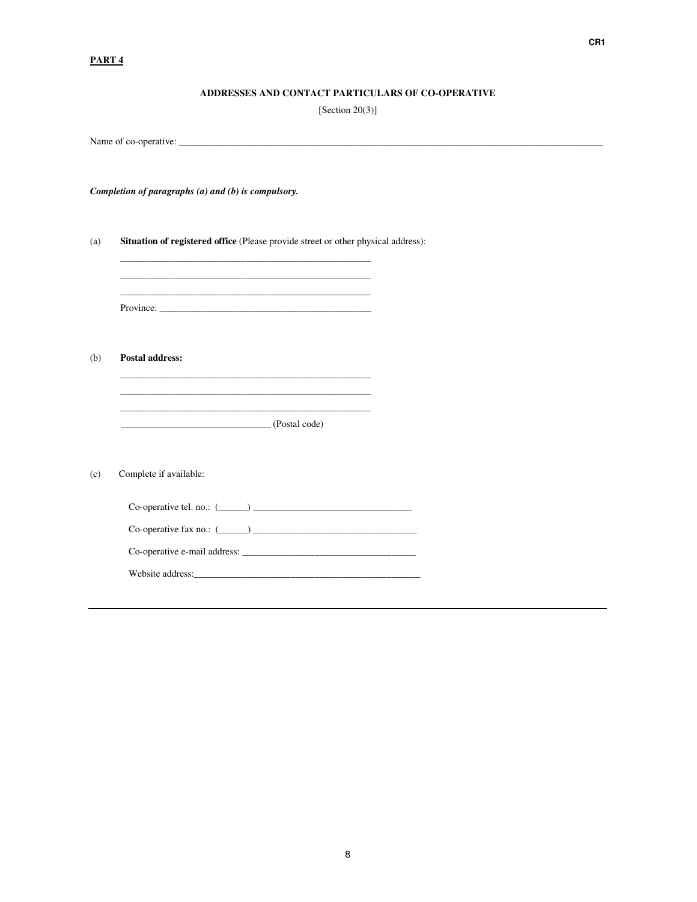## **ADDRESSES AND CONTACT PARTICULARS OF CO-OPERATIVE**

[Section 20(3)]

Name of co-operative: \_\_\_\_\_\_\_\_\_\_\_\_\_\_\_\_\_\_\_\_\_\_\_\_\_\_\_\_\_\_\_\_\_\_\_\_\_\_\_\_\_\_\_\_\_\_\_\_\_\_\_\_\_\_\_\_\_\_\_\_\_\_\_\_\_\_\_\_\_\_\_\_\_\_\_\_\_\_\_\_\_\_\_\_\_\_\_\_ *Completion of paragraphs (a) and (b) is compulsory.* (a) **Situation of registered office** (Please provide street or other physical address): \_\_\_\_\_\_\_\_\_\_\_\_\_\_\_\_\_\_\_\_\_\_\_\_\_\_\_\_\_\_\_\_\_\_\_\_\_\_\_\_\_\_\_\_\_\_\_\_\_\_\_\_ \_\_\_\_\_\_\_\_\_\_\_\_\_\_\_\_\_\_\_\_\_\_\_\_\_\_\_\_\_\_\_\_\_\_\_\_\_\_\_\_\_\_\_\_\_\_\_\_\_\_\_\_ Province: \_\_\_\_\_\_\_\_\_\_\_\_\_\_\_\_\_\_\_\_\_\_\_\_\_\_\_\_\_\_\_\_\_\_\_\_\_\_\_\_\_\_\_\_ (b) **Postal address:** \_\_\_\_\_\_\_\_\_\_\_\_\_\_\_\_\_\_\_\_\_\_\_\_\_\_\_\_\_\_\_\_\_\_\_\_\_\_\_\_\_\_\_\_\_\_\_\_\_\_\_\_ \_\_\_\_\_\_\_\_\_\_\_\_\_\_\_\_\_\_\_\_\_\_\_\_\_\_\_\_\_\_\_\_\_\_\_\_\_\_\_\_\_\_\_\_\_\_\_\_\_\_\_\_ \_\_\_\_\_\_\_\_\_\_\_\_\_\_\_\_\_\_\_\_\_\_\_\_\_\_\_\_\_\_\_ (Postal code) (c) Complete if available:  $Co\text{-}operative tel.~no.:~(\_\_\_\_\_\_\_\_\_\_\_\_\_$  $Co\text{-}operative \text{ fax no.: } (\_\_\_\_\_\_\_\_\_\_\_\_$ Co-operative e-mail address: \_\_\_\_\_\_\_\_\_\_\_\_\_\_\_\_\_\_\_\_\_\_\_\_\_\_\_\_\_\_\_\_\_\_\_\_ Website address:\_\_\_\_\_\_\_\_\_\_\_\_\_\_\_\_\_\_\_\_\_\_\_\_\_\_\_\_\_\_\_\_\_\_\_\_\_\_\_\_\_\_\_\_\_\_\_